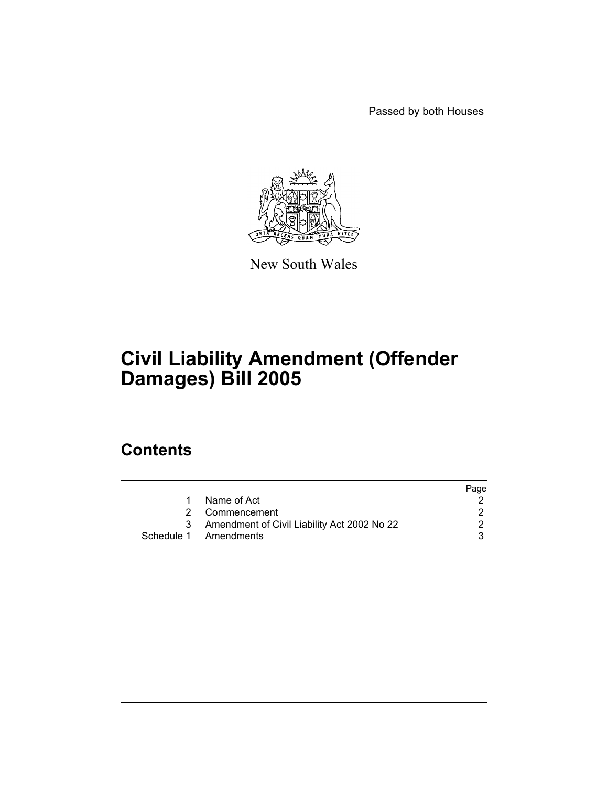Passed by both Houses



New South Wales

# **Civil Liability Amendment (Offender Damages) Bill 2005**

# **Contents**

|    |                                               | Page |
|----|-----------------------------------------------|------|
| 1. | Name of Act                                   |      |
|    | 2 Commencement                                |      |
|    | 3 Amendment of Civil Liability Act 2002 No 22 |      |
|    | Schedule 1 Amendments                         |      |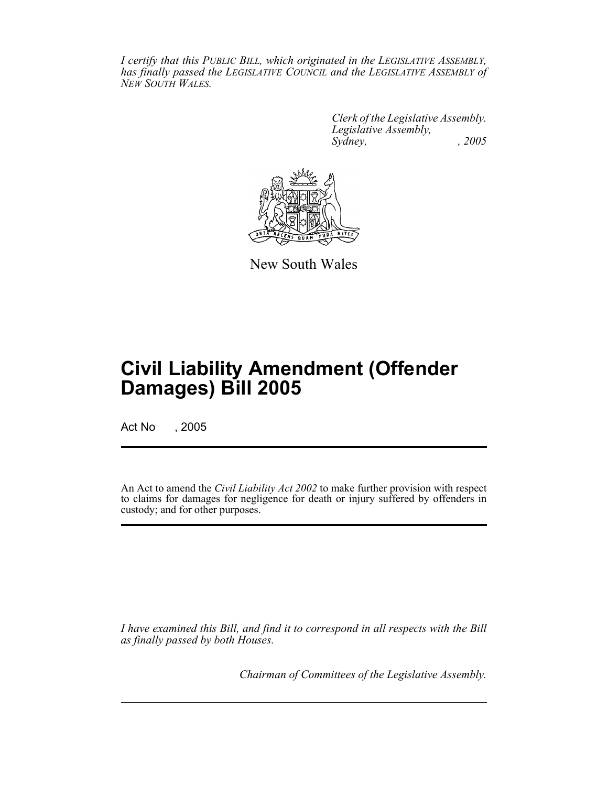*I certify that this PUBLIC BILL, which originated in the LEGISLATIVE ASSEMBLY, has finally passed the LEGISLATIVE COUNCIL and the LEGISLATIVE ASSEMBLY of NEW SOUTH WALES.*

> *Clerk of the Legislative Assembly. Legislative Assembly, Sydney, , 2005*



New South Wales

# **Civil Liability Amendment (Offender Damages) Bill 2005**

Act No , 2005

An Act to amend the *Civil Liability Act 2002* to make further provision with respect to claims for damages for negligence for death or injury suffered by offenders in custody; and for other purposes.

*I have examined this Bill, and find it to correspond in all respects with the Bill as finally passed by both Houses.*

*Chairman of Committees of the Legislative Assembly.*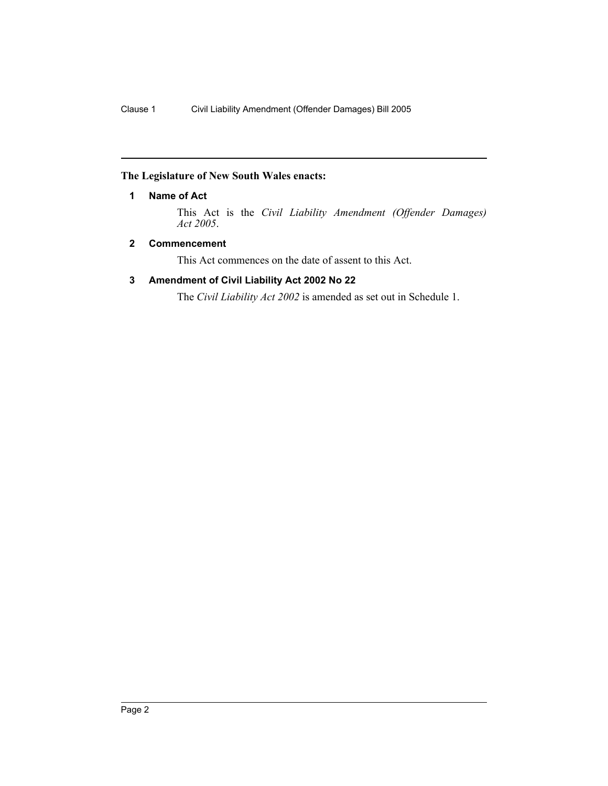# **The Legislature of New South Wales enacts:**

# **1 Name of Act**

This Act is the *Civil Liability Amendment (Offender Damages) Act 2005*.

# **2 Commencement**

This Act commences on the date of assent to this Act.

# **3 Amendment of Civil Liability Act 2002 No 22**

The *Civil Liability Act 2002* is amended as set out in Schedule 1.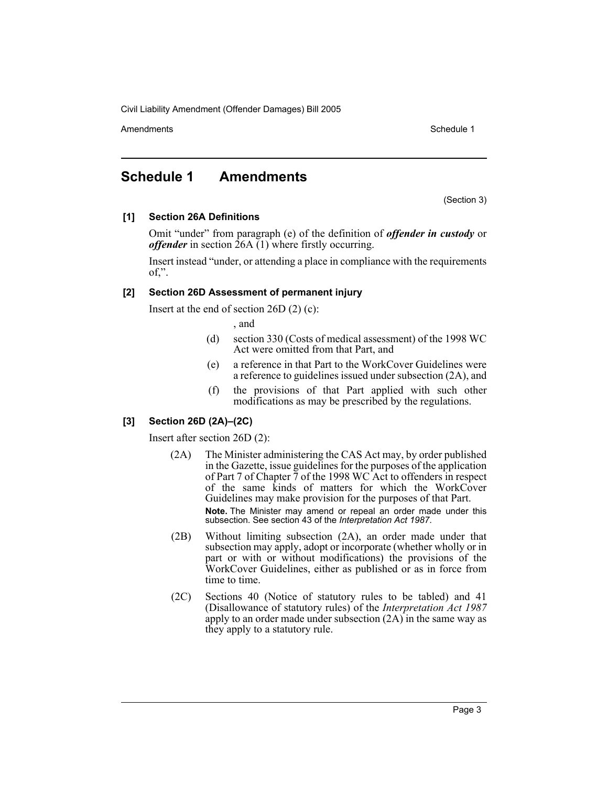Amendments **Amendments** Schedule 1

# **Schedule 1 Amendments**

(Section 3)

#### **[1] Section 26A Definitions**

Omit "under" from paragraph (e) of the definition of *offender in custody* or *offender* in section 26A (1) where firstly occurring.

Insert instead "under, or attending a place in compliance with the requirements  $of,$ ".

#### **[2] Section 26D Assessment of permanent injury**

Insert at the end of section 26D (2) (c):

, and

- (d) section 330 (Costs of medical assessment) of the 1998 WC Act were omitted from that Part, and
- (e) a reference in that Part to the WorkCover Guidelines were a reference to guidelines issued under subsection (2A), and
- (f) the provisions of that Part applied with such other modifications as may be prescribed by the regulations.

# **[3] Section 26D (2A)–(2C)**

Insert after section 26D (2):

- (2A) The Minister administering the CAS Act may, by order published in the Gazette, issue guidelines for the purposes of the application of Part 7 of Chapter 7 of the 1998 WC Act to offenders in respect of the same kinds of matters for which the WorkCover Guidelines may make provision for the purposes of that Part. **Note.** The Minister may amend or repeal an order made under this subsection. See section 43 of the *Interpretation Act 1987*.
- (2B) Without limiting subsection (2A), an order made under that subsection may apply, adopt or incorporate (whether wholly or in part or with or without modifications) the provisions of the WorkCover Guidelines, either as published or as in force from time to time.
- (2C) Sections 40 (Notice of statutory rules to be tabled) and 41 (Disallowance of statutory rules) of the *Interpretation Act 1987* apply to an order made under subsection  $(2A)$  in the same way as they apply to a statutory rule.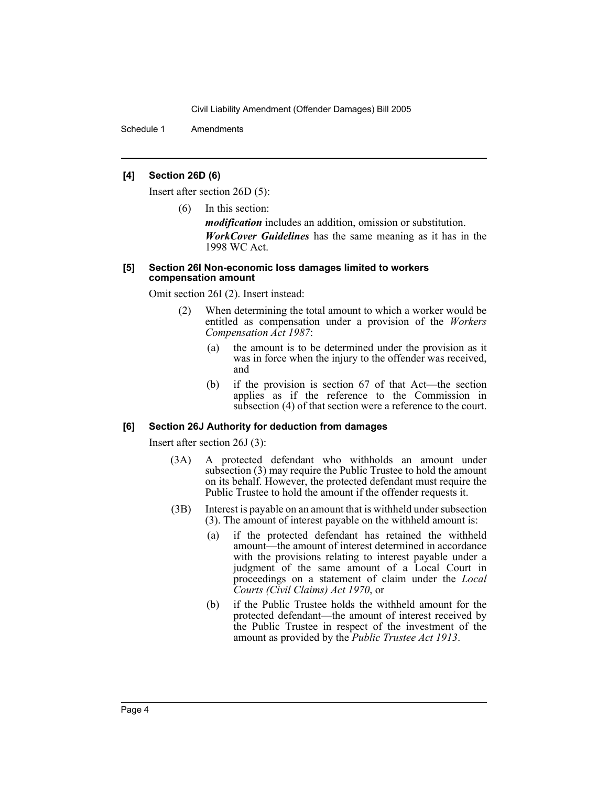Schedule 1 Amendments

#### **[4] Section 26D (6)**

Insert after section 26D (5):

(6) In this section:

*modification* includes an addition, omission or substitution. *WorkCover Guidelines* has the same meaning as it has in the 1998 WC Act.

#### **[5] Section 26I Non-economic loss damages limited to workers compensation amount**

Omit section 26I (2). Insert instead:

- (2) When determining the total amount to which a worker would be entitled as compensation under a provision of the *Workers Compensation Act 1987*:
	- (a) the amount is to be determined under the provision as it was in force when the injury to the offender was received, and
	- (b) if the provision is section 67 of that Act—the section applies as if the reference to the Commission in subsection (4) of that section were a reference to the court.

# **[6] Section 26J Authority for deduction from damages**

Insert after section 26J (3):

- (3A) A protected defendant who withholds an amount under subsection (3) may require the Public Trustee to hold the amount on its behalf. However, the protected defendant must require the Public Trustee to hold the amount if the offender requests it.
- (3B) Interest is payable on an amount that is withheld under subsection (3). The amount of interest payable on the withheld amount is:
	- (a) if the protected defendant has retained the withheld amount—the amount of interest determined in accordance with the provisions relating to interest payable under a judgment of the same amount of a Local Court in proceedings on a statement of claim under the *Local Courts (Civil Claims) Act 1970*, or
	- (b) if the Public Trustee holds the withheld amount for the protected defendant—the amount of interest received by the Public Trustee in respect of the investment of the amount as provided by the *Public Trustee Act 1913*.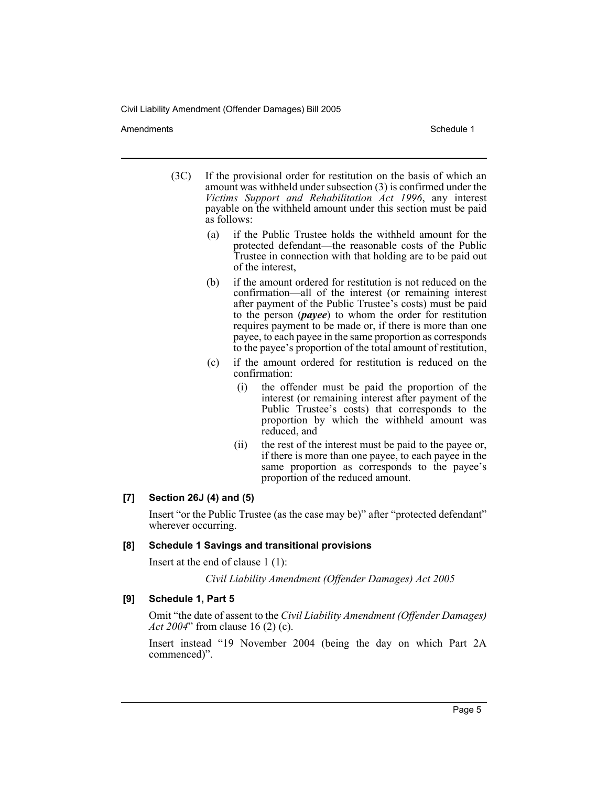Amendments **Schedule 1** and the set of the set of the set of the set of the set of the set of the set of the set of the set of the set of the set of the set of the set of the set of the set of the set of the set of the set

- (3C) If the provisional order for restitution on the basis of which an amount was withheld under subsection (3) is confirmed under the *Victims Support and Rehabilitation Act 1996*, any interest payable on the withheld amount under this section must be paid as follows:
	- (a) if the Public Trustee holds the withheld amount for the protected defendant—the reasonable costs of the Public Trustee in connection with that holding are to be paid out of the interest,
	- (b) if the amount ordered for restitution is not reduced on the confirmation—all of the interest (or remaining interest after payment of the Public Trustee's costs) must be paid to the person (*payee*) to whom the order for restitution requires payment to be made or, if there is more than one payee, to each payee in the same proportion as corresponds to the payee's proportion of the total amount of restitution,
	- (c) if the amount ordered for restitution is reduced on the confirmation:
		- (i) the offender must be paid the proportion of the interest (or remaining interest after payment of the Public Trustee's costs) that corresponds to the proportion by which the withheld amount was reduced, and
		- (ii) the rest of the interest must be paid to the payee or, if there is more than one payee, to each payee in the same proportion as corresponds to the payee's proportion of the reduced amount.

# **[7] Section 26J (4) and (5)**

Insert "or the Public Trustee (as the case may be)" after "protected defendant" wherever occurring.

#### **[8] Schedule 1 Savings and transitional provisions**

Insert at the end of clause 1 (1):

*Civil Liability Amendment (Offender Damages) Act 2005*

#### **[9] Schedule 1, Part 5**

Omit "the date of assent to the *Civil Liability Amendment (Offender Damages) Act 2004*" from clause 16 (2) (c).

Insert instead "19 November 2004 (being the day on which Part 2A commenced)".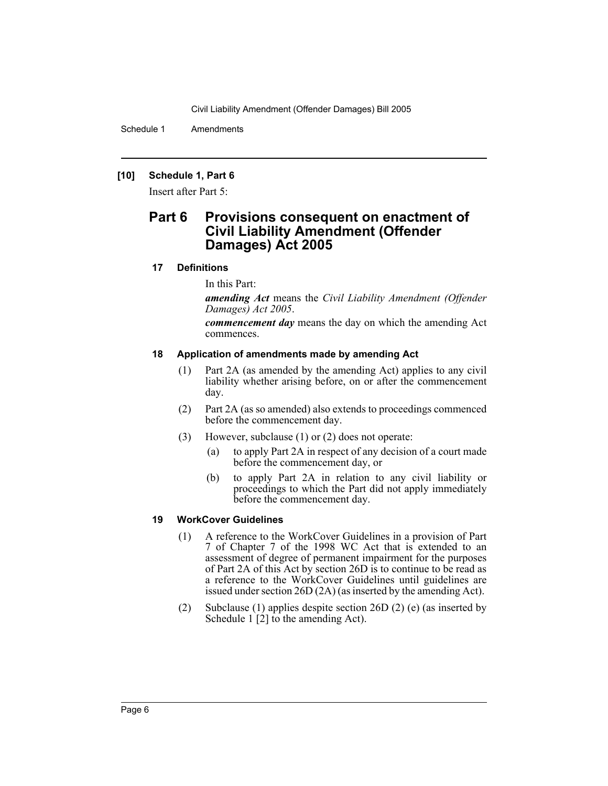Schedule 1 Amendments

### **[10] Schedule 1, Part 6**

Insert after Part 5:

# **Part 6 Provisions consequent on enactment of Civil Liability Amendment (Offender Damages) Act 2005**

# **17 Definitions**

In this Part:

*amending Act* means the *Civil Liability Amendment (Offender Damages) Act 2005*.

*commencement day* means the day on which the amending Act commences.

#### **18 Application of amendments made by amending Act**

- (1) Part 2A (as amended by the amending Act) applies to any civil liability whether arising before, on or after the commencement day.
- (2) Part 2A (as so amended) also extends to proceedings commenced before the commencement day.
- (3) However, subclause (1) or (2) does not operate:
	- (a) to apply Part 2A in respect of any decision of a court made before the commencement day, or
	- (b) to apply Part 2A in relation to any civil liability or proceedings to which the Part did not apply immediately before the commencement day.

# **19 WorkCover Guidelines**

- (1) A reference to the WorkCover Guidelines in a provision of Part 7 of Chapter 7 of the 1998 WC Act that is extended to an assessment of degree of permanent impairment for the purposes of Part 2A of this Act by section 26D is to continue to be read as a reference to the WorkCover Guidelines until guidelines are issued under section 26D (2A) (as inserted by the amending Act).
- (2) Subclause (1) applies despite section 26D (2) (e) (as inserted by Schedule 1 [2] to the amending Act).